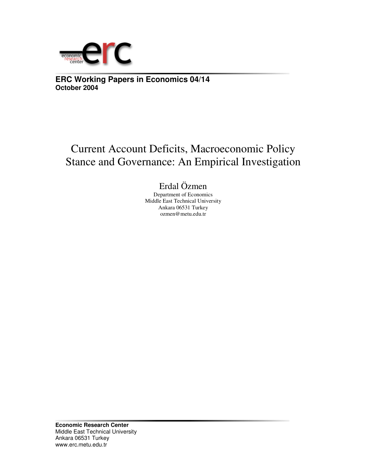

**ERC Working Papers in Economics 04/14 October 2004**

# Current Account Deficits, Macroeconomic Policy Stance and Governance: An Empirical Investigation

## Erdal Özmen

Department of Economics Middle East Technical University Ankara 06531 Turkey ozmen@metu.edu.tr

**Economic Research Center** Middle East Technical University Ankara 06531 Turkey www.erc.metu.edu.tr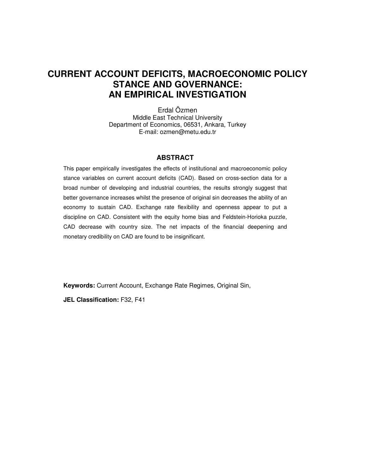### **CURRENT ACCOUNT DEFICITS, MACROECONOMIC POLICY STANCE AND GOVERNANCE: AN EMPIRICAL INVESTIGATION**

Erdal Özmen Middle East Technical University Department of Economics, 06531, Ankara, Turkey E-mail: ozmen@metu.edu.tr

#### **ABSTRACT**

This paper empirically investigates the effects of institutional and macroeconomic policy stance variables on current account deficits (CAD). Based on cross-section data for a broad number of developing and industrial countries, the results strongly suggest that better governance increases whilst the presence of original sin decreases the ability of an economy to sustain CAD. Exchange rate flexibility and openness appear to put a discipline on CAD. Consistent with the equity home bias and Feldstein-Horioka puzzle, CAD decrease with country size. The net impacts of the financial deepening and monetary credibility on CAD are found to be insignificant.

**Keywords:** Current Account, Exchange Rate Regimes, Original Sin,

**JEL Classification:** F32, F41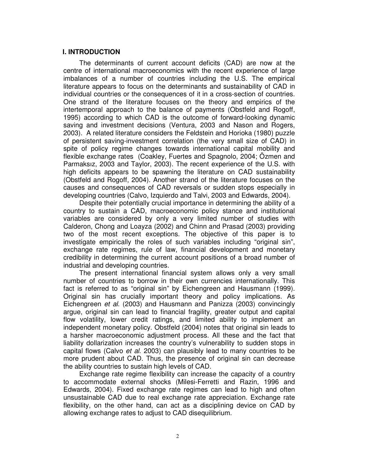#### **I. INTRODUCTION**

The determinants of current account deficits (CAD) are now at the centre of international macroeconomics with the recent experience of large imbalances of a number of countries including the U.S. The empirical literature appears to focus on the determinants and sustainability of CAD in individual countries or the consequences of it in a cross-section of countries. One strand of the literature focuses on the theory and empirics of the intertemporal approach to the balance of payments (Obstfeld and Rogoff, 1995) according to which CAD is the outcome of forward-looking dynamic saving and investment decisions (Ventura, 2003 and Nason and Rogers, 2003). A related literature considers the Feldstein and Horioka (1980) puzzle of persistent saving-investment correlation (the very small size of CAD) in spite of policy regime changes towards international capital mobility and flexible exchange rates (Coakley, Fuertes and Spagnolo, 2004; Özmen and Parmaksız, 2003 and Taylor, 2003). The recent experience of the U.S. with high deficits appears to be spawning the literature on CAD sustainability (Obstfeld and Rogoff, 2004). Another strand of the literature focuses on the causes and consequences of CAD reversals or sudden stops especially in developing countries (Calvo, Izquierdo and Talvi, 2003 and Edwards, 2004).

Despite their potentially crucial importance in determining the ability of a country to sustain a CAD, macroeconomic policy stance and institutional variables are considered by only a very limited number of studies with Calderon, Chong and Loayza (2002) and Chinn and Prasad (2003) providing two of the most recent exceptions. The objective of this paper is to investigate empirically the roles of such variables including "original sin", exchange rate regimes, rule of law, financial development and monetary credibility in determining the current account positions of a broad number of industrial and developing countries.

The present international financial system allows only a very small number of countries to borrow in their own currencies internationally. This fact is referred to as "original sin" by Eichengreen and Hausmann (1999). Original sin has crucially important theory and policy implications. As Eichengreen *et al*. (2003) and Hausmann and Panizza (2003) convincingly argue, original sin can lead to financial fragility, greater output and capital flow volatility, lower credit ratings, and limited ability to implement an independent monetary policy. Obstfeld (2004) notes that original sin leads to a harsher macroeconomic adjustment process. All these and the fact that liability dollarization increases the country's vulnerability to sudden stops in capital flows (Calvo *et al*. 2003) can plausibly lead to many countries to be more prudent about CAD. Thus, the presence of original sin can decrease the ability countries to sustain high levels of CAD.

Exchange rate regime flexibility can increase the capacity of a country to accommodate external shocks (Milesi-Ferretti and Razin, 1996 and Edwards, 2004). Fixed exchange rate regimes can lead to high and often unsustainable CAD due to real exchange rate appreciation. Exchange rate flexibility, on the other hand, can act as a disciplining device on CAD by allowing exchange rates to adjust to CAD disequilibrium.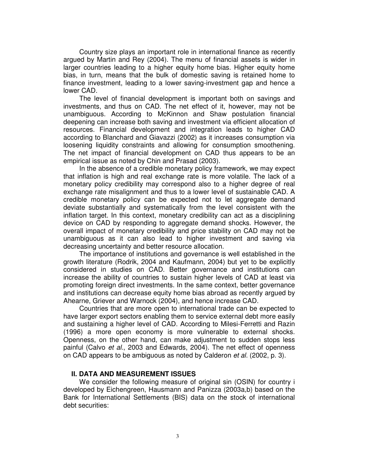Country size plays an important role in international finance as recently argued by Martin and Rey (2004). The menu of financial assets is wider in larger countries leading to a higher equity home bias. Higher equity home bias, in turn, means that the bulk of domestic saving is retained home to finance investment, leading to a lower saving-investment gap and hence a lower CAD.

The level of financial development is important both on savings and investments, and thus on CAD. The net effect of it, however, may not be unambiguous. According to McKinnon and Shaw postulation financial deepening can increase both saving and investment via efficient allocation of resources. Financial development and integration leads to higher CAD according to Blanchard and Giavazzi (2002) as it increases consumption via loosening liquidity constraints and allowing for consumption smoothening. The net impact of financial development on CAD thus appears to be an empirical issue as noted by Chin and Prasad (2003).

In the absence of a credible monetary policy framework, we may expect that inflation is high and real exchange rate is more volatile. The lack of a monetary policy credibility may correspond also to a higher degree of real exchange rate misalignment and thus to a lower level of sustainable CAD. A credible monetary policy can be expected not to let aggregate demand deviate substantially and systematically from the level consistent with the inflation target. In this context, monetary credibility can act as a disciplining device on CAD by responding to aggregate demand shocks. However, the overall impact of monetary credibility and price stability on CAD may not be unambiguous as it can also lead to higher investment and saving via decreasing uncertainty and better resource allocation.

The importance of institutions and governance is well established in the growth literature (Rodrik, 2004 and Kaufmann, 2004) but yet to be explicitly considered in studies on CAD. Better governance and institutions can increase the ability of countries to sustain higher levels of CAD at least via promoting foreign direct investments. In the same context, better governance and institutions can decrease equity home bias abroad as recently argued by Ahearne, Griever and Warnock (2004), and hence increase CAD.

Countries that are more open to international trade can be expected to have larger export sectors enabling them to service external debt more easily and sustaining a higher level of CAD. According to Milesi-Ferretti and Razin (1996) a more open economy is more vulnerable to external shocks. Openness, on the other hand, can make adjustment to sudden stops less painful (Calvo *et al*., 2003 and Edwards, 2004). The net effect of openness on CAD appears to be ambiguous as noted by Calderon *et al.* (2002, p. 3).

#### **II. DATA AND MEASUREMENT ISSUES**

We consider the following measure of original sin (OSIN) for country i developed by Eichengreen, Hausmann and Panizza (2003a,b) based on the Bank for International Settlements (BIS) data on the stock of international debt securities: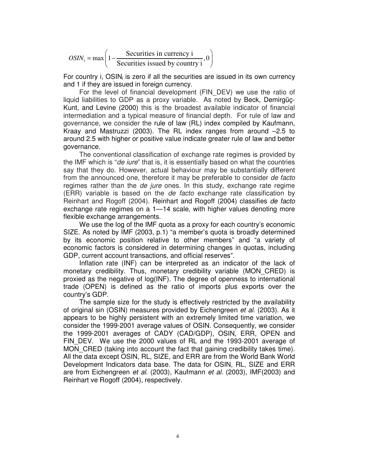$\max\left(1-\frac{\text{Securities in currency i}}{0.011}\right)$  $OSIN_i = \max\left(1 - \frac{5}{\text{Securities instead by country i}}\right)$  $=\max\left(1-\frac{\text{Securities in currency i}}{\text{Si}\left(\frac{1}{2}\right)},0\right)$ Securities issued by country  $i \int$ 

For country i, OSIN<sub>i</sub> is zero if all the securities are issued in its own currency and 1 if they are issued in foreign currency.

For the level of financial development (FIN\_DEV) we use the ratio of liquid liabilities to GDP as a proxy variable. As noted by Beck, Demirgüç-Kunt, and Levine (2000) this is the broadest available indicator of financial intermediation and a typical measure of financial depth. For rule of law and governance, we consider the rule of law (RL) index compiled by Kaufmann, Kraay and Mastruzzi (2003). The RL index ranges from around –2.5 to around 2.5 with higher or positive value indicate greater rule of law and better governance.

The conventional classification of exchange rate regimes is provided by the IMF which is "*de iure*" that is, it is essentially based on what the countries say that they do. However, actual behaviour may be substantially different from the announced one, therefore it may be preferable to consider *de facto* regimes rather than the *de jure* ones. In this study, exchange rate regime (ERR) variable is based on the *de facto* exchange rate classification by Reinhart and Rogoff (2004). Reinhart and Rogoff (2004) classifies *de facto* exchange rate regimes on a 1—14 scale, with higher values denoting more flexible exchange arrangements.

We use the log of the IMF quota as a proxy for each country's economic SIZE. As noted by IMF (2003, p.1) "a member's quota is broadly determined by its economic position relative to other members" and "a variety of economic factors is considered in determining changes in quotas, including GDP, current account transactions, and official reserves".

Inflation rate (INF) can be interpreted as an indicator of the lack of monetary credibility. Thus, monetary credibility variable (MON\_CRED) is proxied as the negative of log(INF). The degree of openness to international trade (OPEN) is defined as the ratio of imports plus exports over the country's GDP.

The sample size for the study is effectively restricted by the availability of original sin (OSIN) measures provided by Eichengreen *et al*. (2003). As it appears to be highly persistent with an extremely limited time variation, we consider the 1999-2001 average values of OSIN. Consequently, we consider the 1999-2001 averages of CADY (CAD/GDP), OSIN, ERR, OPEN and FIN DEV. We use the 2000 values of RL and the 1993-2001 average of MON\_CRED (taking into account the fact that gaining credibility takes time). All the data except OSIN, RL, SIZE, and ERR are from the World Bank World Development Indicators data base. The data for OSIN, RL, SIZE and ERR are from Eichengreen *et al.* (2003), Kaufmann *et al.* (2003), IMF(2003) and Reinhart ve Rogoff (2004), respectively.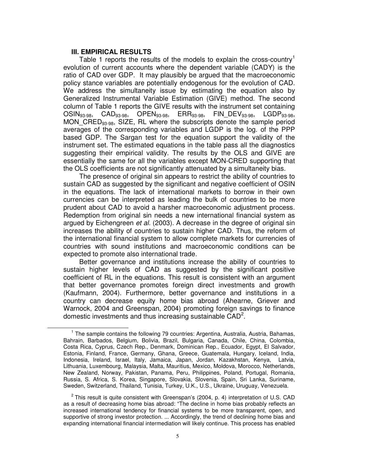#### **III. EMPIRICAL RESULTS**

Table 1 reports the results of the models to explain the cross-country<sup>1</sup> evolution of current accounts where the dependent variable (CADY) is the ratio of CAD over GDP. It may plausibly be argued that the macroeconomic policy stance variables are potentially endogenous for the evolution of CAD. We address the simultaneity issue by estimating the equation also by Generalized Instrumental Variable Estimation (GIVE) method. The second column of Table 1 reports the GIVE results with the instrument set containing OSIN93-98, CAD93-98, OPEN93-98, ERR93-98, FIN\_DEV93-98, LGDP93-98, MON\_CRED<sub>93-98</sub>, SIZE, RL where the subscripts denote the sample period averages of the corresponding variables and LGDP is the log. of the PPP based GDP. The Sargan test for the equation support the validity of the instrument set. The estimated equations in the table pass all the diagnostics suggesting their empirical validity. The results by the OLS and GIVE are essentially the same for all the variables except MON-CRED supporting that the OLS coefficients are not significantly attenuated by a simultaneity bias.

The presence of original sin appears to restrict the ability of countries to sustain CAD as suggested by the significant and negative coefficient of OSIN in the equations. The lack of international markets to borrow in their own currencies can be interpreted as leading the bulk of countries to be more prudent about CAD to avoid a harsher macroeconomic adjustment process. Redemption from original sin needs a new international financial system as argued by Eichengreen *et al.* (2003). A decrease in the degree of original sin increases the ability of countries to sustain higher CAD. Thus, the reform of the international financial system to allow complete markets for currencies of countries with sound institutions and macroeconomic conditions can be expected to promote also international trade.

Better governance and institutions increase the ability of countries to sustain higher levels of CAD as suggested by the significant positive coefficient of RL in the equations. This result is consistent with an argument that better governance promotes foreign direct investments and growth (Kaufmann, 2004). Furthermore, better governance and institutions in a country can decrease equity home bias abroad (Ahearne, Griever and Warnock, 2004 and Greenspan, 2004) promoting foreign savings to finance domestic investments and thus increasing sustainable  $CAD^2$ .

<sup>&</sup>lt;sup>1</sup> The sample contains the following 79 countries: Argentina, Australia, Austria, Bahamas, Bahrain, Barbados, Belgium, Bolivia, Brazil, Bulgaria, Canada, Chile, China, Colombia, Costa Rica, Cyprus, Czech Rep., Denmark, Dominican Rep., Ecuador, Egypt, El Salvador, Estonia, Finland, France, Germany, Ghana, Greece, Guatemala, Hungary, Iceland, India, Indonesia, Ireland, Israel, Italy, Jamaica, Japan, Jordan, Kazakhstan, Kenya, Latvia, Lithuania, Luxembourg, Malaysia, Malta, Mauritius, Mexico, Moldova, Morocco, Netherlands, New Zealand, Norway, Pakistan, Panama, Peru, Philippines, Poland, Portugal, Romania, Russia, S. Africa, S. Korea, Singapore, Slovakia, Slovenia, Spain, Sri Lanka, Suriname, Sweden, Switzerland, Thailand, Tunisia, Turkey, U.K., U.S., Ukraine, Uruguay, Venezuela.

 $2$  This result is quite consistent with Greenspan's (2004, p. 4) interpretation of U.S. CAD as a result of decreasing home bias abroad: "The decline in home bias probably reflects an increased international tendency for financial systems to be more transparent, open, and supportive of strong investor protection. ... Accordingly, the trend of declining home bias and expanding international financial intermediation will likely continue. This process has enabled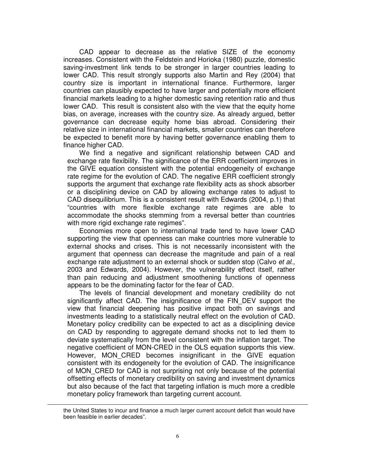CAD appear to decrease as the relative SIZE of the economy increases. Consistent with the Feldstein and Horioka (1980) puzzle, domestic saving-investment link tends to be stronger in larger countries leading to lower CAD. This result strongly supports also Martin and Rey (2004) that country size is important in international finance. Furthermore, larger countries can plausibly expected to have larger and potentially more efficient financial markets leading to a higher domestic saving retention ratio and thus lower CAD. This result is consistent also with the view that the equity home bias, on average, increases with the country size. As already argued, better governance can decrease equity home bias abroad. Considering their relative size in international financial markets, smaller countries can therefore be expected to benefit more by having better governance enabling them to finance higher CAD.

We find a negative and significant relationship between CAD and exchange rate flexibility. The significance of the ERR coefficient improves in the GIVE equation consistent with the potential endogeneity of exchange rate regime for the evolution of CAD. The negative ERR coefficient strongly supports the argument that exchange rate flexibility acts as shock absorber or a disciplining device on CAD by allowing exchange rates to adjust to CAD disequilibrium. This is a consistent result with Edwards (2004, p.1) that "countries with more flexible exchange rate regimes are able to accommodate the shocks stemming from a reversal better than countries with more rigid exchange rate regimes".

Economies more open to international trade tend to have lower CAD supporting the view that openness can make countries more vulnerable to external shocks and crises. This is not necessarily inconsistent with the argument that openness can decrease the magnitude and pain of a real exchange rate adjustment to an external shock or sudden stop (Calvo *et al*., 2003 and Edwards, 2004). However, the vulnerability effect itself, rather than pain reducing and adjustment smoothening functions of openness appears to be the dominating factor for the fear of CAD.

The levels of financial development and monetary credibility do not significantly affect CAD. The insignificance of the FIN\_DEV support the view that financial deepening has positive impact both on savings and investments leading to a statistically neutral effect on the evolution of CAD. Monetary policy credibility can be expected to act as a disciplining device on CAD by responding to aggregate demand shocks not to led them to deviate systematically from the level consistent with the inflation target. The negative coefficient of MON-CRED in the OLS equation supports this view. However, MON CRED becomes insignificant in the GIVE equation consistent with its endogeneity for the evolution of CAD. The insignificance of MON\_CRED for CAD is not surprising not only because of the potential offsetting effects of monetary credibility on saving and investment dynamics but also because of the fact that targeting inflation is much more a credible monetary policy framework than targeting current account.

the United States to incur and finance a much larger current account deficit than would have been feasible in earlier decades".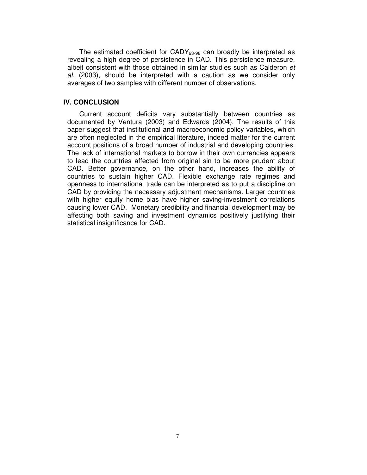The estimated coefficient for CADY<sub>93-98</sub> can broadly be interpreted as revealing a high degree of persistence in CAD. This persistence measure, albeit consistent with those obtained in similar studies such as Calderon *et al.* (2003), should be interpreted with a caution as we consider only averages of two samples with different number of observations.

#### **IV. CONCLUSION**

Current account deficits vary substantially between countries as documented by Ventura (2003) and Edwards (2004). The results of this paper suggest that institutional and macroeconomic policy variables, which are often neglected in the empirical literature, indeed matter for the current account positions of a broad number of industrial and developing countries. The lack of international markets to borrow in their own currencies appears to lead the countries affected from original sin to be more prudent about CAD. Better governance, on the other hand, increases the ability of countries to sustain higher CAD. Flexible exchange rate regimes and openness to international trade can be interpreted as to put a discipline on CAD by providing the necessary adjustment mechanisms. Larger countries with higher equity home bias have higher saving-investment correlations causing lower CAD. Monetary credibility and financial development may be affecting both saving and investment dynamics positively justifying their statistical insignificance for CAD.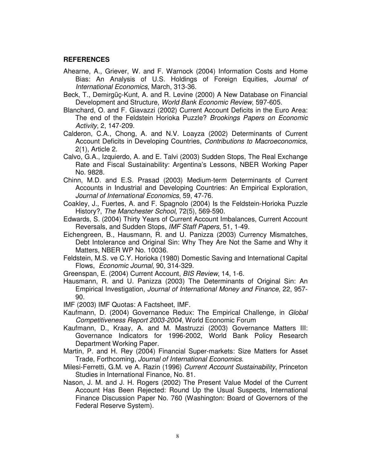#### **REFERENCES**

- Ahearne, A., Griever, W. and F. Warnock (2004) Information Costs and Home Bias: An Analysis of U.S. Holdings of Foreign Equities, *Journal of International Economics*, March, 313-36.
- Beck, T., Demirgüç-Kunt, A. and R. Levine (2000) A New Database on Financial Development and Structure, *World Bank Economic Review*, 597-605.
- Blanchard, O. and F. Giavazzi (2002) Current Account Deficits in the Euro Area: The end of the Feldstein Horioka Puzzle? *Brookings Papers on Economic Activity*, 2, 147-209.
- Calderon, C.A., Chong, A. and N.V. Loayza (2002) Determinants of Current Account Deficits in Developing Countries, *Contributions to Macroeconomics*, 2(1), Article 2.
- Calvo, G.A., Izquierdo, A. and E. Talvi (2003) Sudden Stops, The Real Exchange Rate and Fiscal Sustainability: Argentina's Lessons, NBER Working Paper No. 9828.
- Chinn, M.D. and E.S. Prasad (2003) Medium-term Determinants of Current Accounts in Industrial and Developing Countries: An Empirical Exploration, *Journal of International Economics*, 59, 47-76.
- Coakley, J., Fuertes, A. and F. Spagnolo (2004) Is the Feldstein-Horioka Puzzle History?, *The Manchester School*, 72(5), 569-590.
- Edwards, S. (2004) Thirty Years of Current Account Imbalances, Current Account Reversals, and Sudden Stops, *IMF Staff Papers*, 51, 1-49.
- Eichengreen, B., Hausmann, R. and U. Panizza (2003) Currency Mismatches, Debt Intolerance and Original Sin: Why They Are Not the Same and Why it Matters, NBER WP No. 10036.
- Feldstein, M.S. ve C.Y. Horioka (1980) Domestic Saving and International Capital Flows, *Economic Journal*, 90, 314-329.
- Greenspan, E. (2004) Current Account, *BIS Review*, 14, 1-6.
- Hausmann, R. and U. Panizza (2003) The Determinants of Original Sin: An Empirical Investigation, *Journal of International Money and Finance*, 22, 957- 90.
- IMF (2003) IMF Quotas: A Factsheet, IMF.
- Kaufmann, D. (2004) Governance Redux: The Empirical Challenge, in *Global Competitiveness Report 2003-2004*, World Economic Forum
- Kaufmann, D., Kraay, A. and M. Mastruzzi (2003) Governance Matters III: Governance Indicators for 1996-2002, World Bank Policy Research Department Working Paper.
- Martin, P. and H. Rey (2004) Financial Super-markets: Size Matters for Asset Trade, Forthcoming, *Journal of International Economics*.
- Milesi-Ferretti, G.M. ve A. Razin (1996) *Current Account Sustainability*, Princeton Studies in International Finance, No. 81.
- Nason, J. M. and J. H. Rogers (2002) The Present Value Model of the Current Account Has Been Rejected: Round Up the Usual Suspects, International Finance Discussion Paper No. 760 (Washington: Board of Governors of the Federal Reserve System).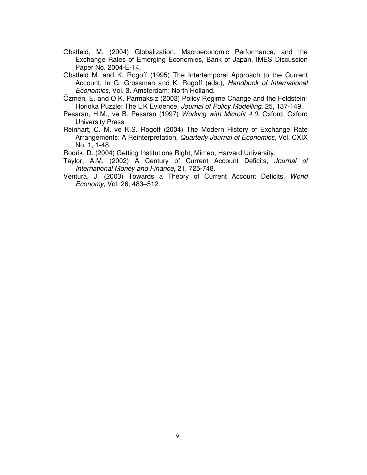- Obstfeld, M. (2004) Globalization, Macroeconomic Performance, and the Exchange Rates of Emerging Economies, Bank of Japan, IMES Discussion Paper No. 2004-E-14.
- Obstfeld M. and K. Rogoff (1995) The Intertemporal Approach to the Current Account, In G. Grossman and K. Rogoff (eds.), *Handbook of International Economics*, Vol. 3. Amsterdam: North Holland.
- Özmen, E. and O.K. Parmaksız (2003) Policy Regime Change and the Feldstein-Horioka Puzzle: The UK Evidence, *Journal of Policy Modelling*, 25, 137-149.
- Pesaran, H.M., ve B. Pesaran (1997) *Working with Microfit 4.0*, Oxford: Oxford University Press.
- Reinhart, C. M. ve K.S. Rogoff (2004) The Modern History of Exchange Rate Arrangements: A Reinterpretation, *Quarterly Journal of Economics*, Vol. CXIX No. 1, 1-48.

Rodrik, D. (2004) Getting Institutions Right, Mimeo, Harvard University.

- Taylor, A.M. (2002) A Century of Current Account Deficits, *Journal of International Money and Finance*, 21, 725-748.
- Ventura, J. (2003) Towards a Theory of Current Account Deficits, *World Economy*, Vol. 26, 483–512.